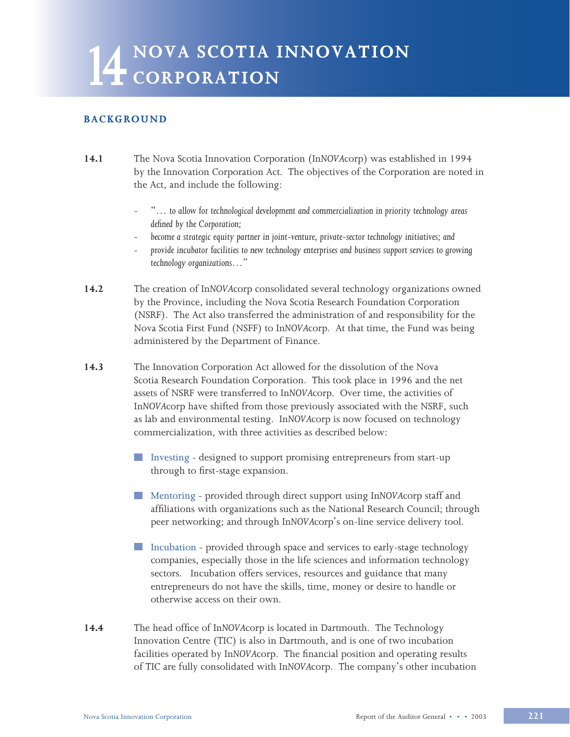# **14 NOVA SCOTIA INNOVATION L4** CORPORATION

## **BACKGROUND**

- **14.1** The Nova Scotia Innovation Corporation (In*NOVA*corp) was established in 1994 by the Innovation Corporation Act*.* The objectives of the Corporation are noted in the Act, and include the following:
	- "… *to allow for technological development and commercialization in priority technology areas defined by the Corporation;*
	- *become a strategic equity partner in joint-venture, private-sector technology initiatives; and*
	- *provide incubator facilities to new technology enterprises and business support services to growing technology organizations*…"
- **14.2** The creation of In*NOVA*corp consolidated several technology organizations owned by the Province, including the Nova Scotia Research Foundation Corporation (NSRF). The Act also transferred the administration of and responsibility for the Nova Scotia First Fund (NSFF) to In*NOVA*corp. At that time, the Fund was being administered by the Department of Finance.
- **14.3** The Innovation Corporation Act allowed for the dissolution of the Nova Scotia Research Foundation Corporation. This took place in 1996 and the net assets of NSRF were transferred to In*NOVA*corp. Over time, the activities of In*NOVA*corp have shifted from those previously associated with the NSRF, such as lab and environmental testing. In*NOVA*corp is now focused on technology commercialization, with three activities as described below:
	- Investing designed to support promising entrepreneurs from start-up through to first-stage expansion.
	- Mentoring provided through direct support using In*NOVA*corp staff and affiliations with organizations such as the National Research Council; through peer networking; and through In*NOVA*corp's on-line service delivery tool.
	- Incubation provided through space and services to early-stage technology companies, especially those in the life sciences and information technology sectors. Incubation offers services, resources and guidance that many entrepreneurs do not have the skills, time, money or desire to handle or otherwise access on their own.
- **14.4** The head office of In*NOVA*corp is located in Dartmouth. The Technology Innovation Centre (TIC) is also in Dartmouth, and is one of two incubation facilities operated by In*NOVA*corp. The financial position and operating results of TIC are fully consolidated with In*NOVA*corp. The company's other incubation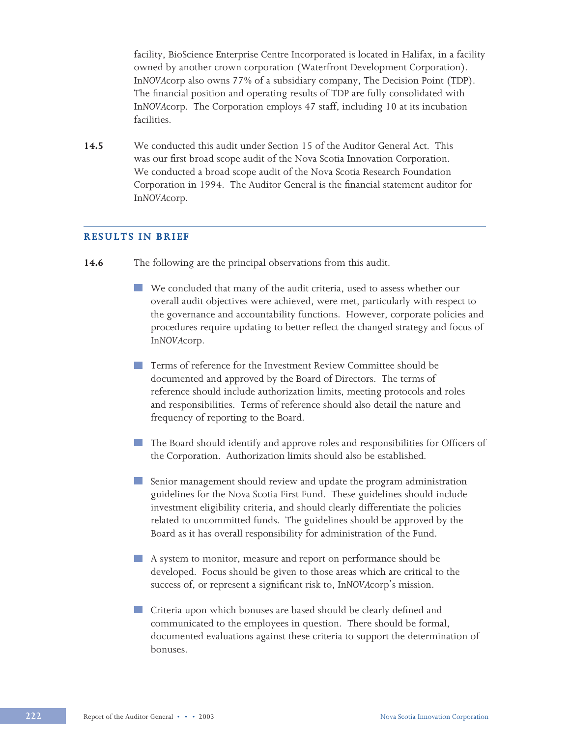facility, BioScience Enterprise Centre Incorporated is located in Halifax, in a facility owned by another crown corporation (Waterfront Development Corporation). In*NOVA*corp also owns 77% of a subsidiary company, The Decision Point (TDP). The financial position and operating results of TDP are fully consolidated with In*NOVA*corp. The Corporation employs 47 staff, including 10 at its incubation facilities.

**14.5** We conducted this audit under Section 15 of the Auditor General Act. This was our first broad scope audit of the Nova Scotia Innovation Corporation. We conducted a broad scope audit of the Nova Scotia Research Foundation Corporation in 1994. The Auditor General is the financial statement auditor for In*NOVA*corp.

## **RESULTS IN BRIEF**

- **14.6** The following are the principal observations from this audit.
	- We concluded that many of the audit criteria, used to assess whether our overall audit objectives were achieved, were met, particularly with respect to the governance and accountability functions. However, corporate policies and procedures require updating to better reflect the changed strategy and focus of In*NOVA*corp.
	- Terms of reference for the Investment Review Committee should be documented and approved by the Board of Directors. The terms of reference should include authorization limits, meeting protocols and roles and responsibilities. Terms of reference should also detail the nature and frequency of reporting to the Board.
	- The Board should identify and approve roles and responsibilities for Officers of the Corporation. Authorization limits should also be established.
	- Senior management should review and update the program administration  $\mathcal{L}^{\text{max}}$ guidelines for the Nova Scotia First Fund. These guidelines should include investment eligibility criteria, and should clearly differentiate the policies related to uncommitted funds. The guidelines should be approved by the Board as it has overall responsibility for administration of the Fund.
	- A system to monitor, measure and report on performance should be developed. Focus should be given to those areas which are critical to the success of, or represent a significant risk to, In*NOVA*corp's mission.
	- **Criteria upon which bonuses are based should be clearly defined and** communicated to the employees in question. There should be formal, documented evaluations against these criteria to support the determination of bonuses.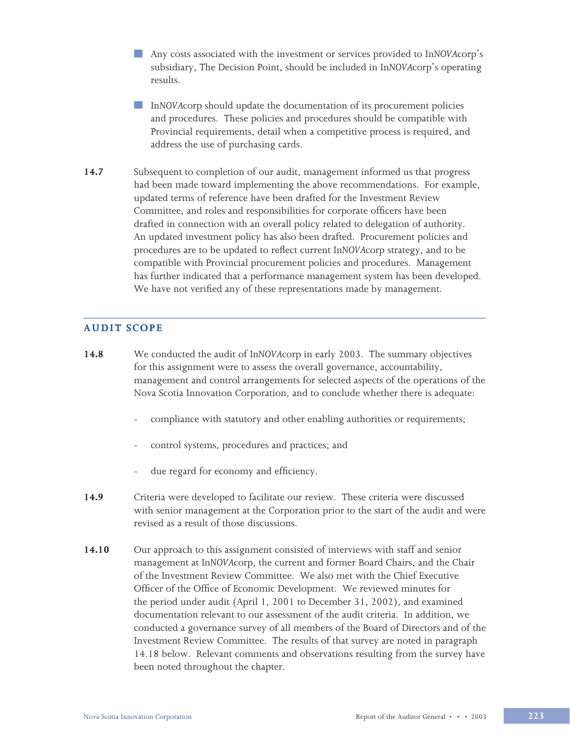- Any costs associated with the investment or services provided to In*NOVA*corp's subsidiary, The Decision Point, should be included in In*NOVA*corp's operating results.
	- In*NOVA*corp should update the documentation of its procurement policies and procedures. These policies and procedures should be compatible with Provincial requirements, detail when a competitive process is required, and address the use of purchasing cards.
- **14.7** Subsequent to completion of our audit, management informed us that progress had been made toward implementing the above recommendations. For example, updated terms of reference have been drafted for the Investment Review Committee, and roles and responsibilities for corporate officers have been drafted in connection with an overall policy related to delegation of authority. An updated investment policy has also been drafted. Procurement policies and procedures are to be updated to reflect current In*NOVA*corp strategy, and to be compatible with Provincial procurement policies and procedures. Management has further indicated that a performance management system has been developed. We have not verified any of these representations made by management.

## **AUDIT SCOPE**

- **14.8** We conducted the audit of In*NOVA*corp in early 2003. The summary objectives for this assignment were to assess the overall governance, accountability, management and control arrangements for selected aspects of the operations of the Nova Scotia Innovation Corporation, and to conclude whether there is adequate:
	- compliance with statutory and other enabling authorities or requirements;
	- control systems, procedures and practices; and
	- due regard for economy and efficiency.
- **14.9** Criteria were developed to facilitate our review. These criteria were discussed with senior management at the Corporation prior to the start of the audit and were revised as a result of those discussions.
- **14.10** Our approach to this assignment consisted of interviews with staff and senior management at In*NOVA*corp, the current and former Board Chairs, and the Chair of the Investment Review Committee. We also met with the Chief Executive Officer of the Office of Economic Development. We reviewed minutes for the period under audit (April 1, 2001 to December 31, 2002), and examined documentation relevant to our assessment of the audit criteria. In addition, we conducted a governance survey of all members of the Board of Directors and of the Investment Review Committee. The results of that survey are noted in paragraph 14.18 below. Relevant comments and observations resulting from the survey have been noted throughout the chapter.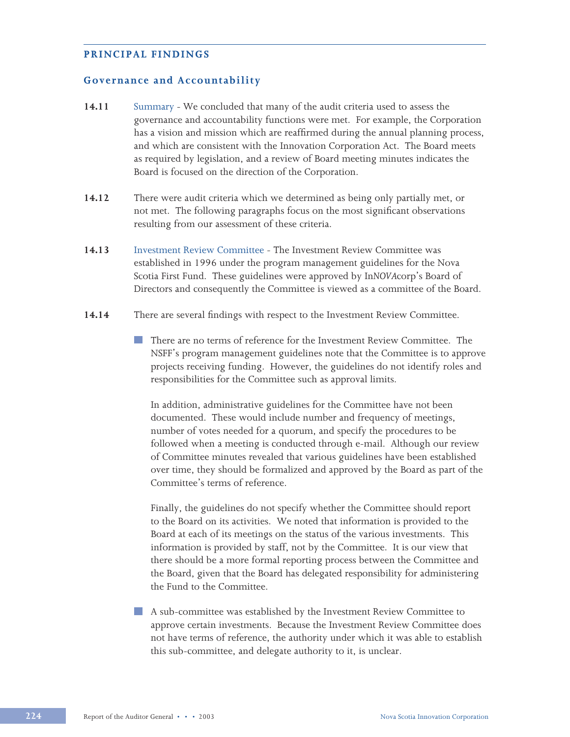#### **PRINCIPAL FINDINGS**

#### **Governance and Accountability**

- **14.11** SummaryWe concluded that many of the audit criteria used to assess the governance and accountability functions were met. For example, the Corporation has a vision and mission which are reaffirmed during the annual planning process, and which are consistent with the Innovation Corporation Act. The Board meets as required by legislation, and a review of Board meeting minutes indicates the Board is focused on the direction of the Corporation.
- **14.12** There were audit criteria which we determined as being only partially met, or not met. The following paragraphs focus on the most significant observations resulting from our assessment of these criteria.
- **14.13** Investment Review Committee The Investment Review Committee was established in 1996 under the program management guidelines for the Nova Scotia First Fund. These guidelines were approved by In*NOVA*corp's Board of Directors and consequently the Committee is viewed as a committee of the Board.
- **14.14** There are several findings with respect to the Investment Review Committee.
	- There are no terms of reference for the Investment Review Committee. The NSFF's program management guidelines note that the Committee is to approve projects receiving funding. However, the guidelines do not identify roles and responsibilities for the Committee such as approval limits.

In addition, administrative guidelines for the Committee have not been documented. These would include number and frequency of meetings, number of votes needed for a quorum, and specify the procedures to be followed when a meeting is conducted through e-mail. Although our review of Committee minutes revealed that various guidelines have been established over time, they should be formalized and approved by the Board as part of the Committee's terms of reference.

Finally, the guidelines do not specify whether the Committee should report to the Board on its activities. We noted that information is provided to the Board at each of its meetings on the status of the various investments. This information is provided by staff, not by the Committee. It is our view that there should be a more formal reporting process between the Committee and the Board, given that the Board has delegated responsibility for administering the Fund to the Committee.

A sub-committee was established by the Investment Review Committee to approve certain investments. Because the Investment Review Committee does not have terms of reference, the authority under which it was able to establish this sub-committee, and delegate authority to it, is unclear.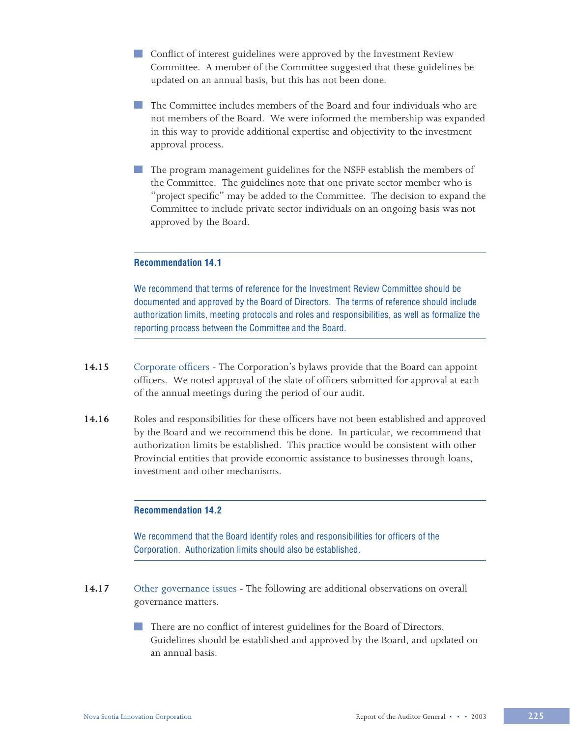- **Conflict of interest guidelines were approved by the Investment Review** Committee. A member of the Committee suggested that these guidelines be updated on an annual basis, but this has not been done.
- The Committee includes members of the Board and four individuals who are not members of the Board. We were informed the membership was expanded in this way to provide additional expertise and objectivity to the investment approval process.
- The program management guidelines for the NSFF establish the members of the Committee. The guidelines note that one private sector member who is "project specific" may be added to the Committee. The decision to expand the Committee to include private sector individuals on an ongoing basis was not approved by the Board.

#### **Recommendation 14.1**

We recommend that terms of reference for the Investment Review Committee should be documented and approved by the Board of Directors. The terms of reference should include authorization limits, meeting protocols and roles and responsibilities, as well as formalize the reporting process between the Committee and the Board.

- **14.15** Corporate officers The Corporation's bylaws provide that the Board can appoint officers. We noted approval of the slate of officers submitted for approval at each of the annual meetings during the period of our audit.
- **14.16** Roles and responsibilities for these officers have not been established and approved by the Board and we recommend this be done. In particular, we recommend that authorization limits be established. This practice would be consistent with other Provincial entities that provide economic assistance to businesses through loans, investment and other mechanisms.

#### **Recommendation 14.2**

We recommend that the Board identify roles and responsibilities for officers of the Corporation. Authorization limits should also be established.

**14.17** Other governance issues - The following are additional observations on overall governance matters.

> There are no conflict of interest guidelines for the Board of Directors. Guidelines should be established and approved by the Board, and updated on an annual basis.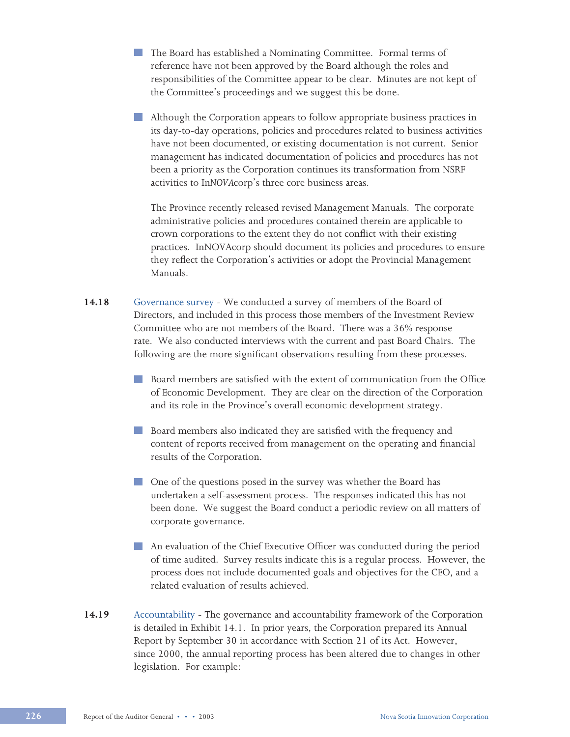- **The Board has established a Nominating Committee. Formal terms of** reference have not been approved by the Board although the roles and responsibilities of the Committee appear to be clear. Minutes are not kept of the Committee's proceedings and we suggest this be done.
- Although the Corporation appears to follow appropriate business practices in its day-to-day operations, policies and procedures related to business activities have not been documented, or existing documentation is not current. Senior management has indicated documentation of policies and procedures has not been a priority as the Corporation continues its transformation from NSRF activities to In*NOVA*corp's three core business areas.

The Province recently released revised Management Manuals. The corporate administrative policies and procedures contained therein are applicable to crown corporations to the extent they do not conflict with their existing practices. InNOVAcorp should document its policies and procedures to ensure they reflect the Corporation's activities or adopt the Provincial Management Manuals.

- **14.18** Governance survey We conducted a survey of members of the Board of Directors, and included in this process those members of the Investment Review Committee who are not members of the Board. There was a 36% response rate. We also conducted interviews with the current and past Board Chairs. The following are the more significant observations resulting from these processes.
	- Board members are satisfied with the extent of communication from the Office of Economic Development. They are clear on the direction of the Corporation and its role in the Province's overall economic development strategy.
	- Board members also indicated they are satisfied with the frequency and content of reports received from management on the operating and financial results of the Corporation.
	- One of the questions posed in the survey was whether the Board has undertaken a self-assessment process. The responses indicated this has not been done. We suggest the Board conduct a periodic review on all matters of corporate governance.
	- An evaluation of the Chief Executive Officer was conducted during the period of time audited. Survey results indicate this is a regular process. However, the process does not include documented goals and objectives for the CEO, and a related evaluation of results achieved.
- **14.19** Accountability The governance and accountability framework of the Corporation is detailed in Exhibit 14.1. In prior years, the Corporation prepared its Annual Report by September 30 in accordance with Section 21 of its Act. However, since 2000, the annual reporting process has been altered due to changes in other legislation. For example: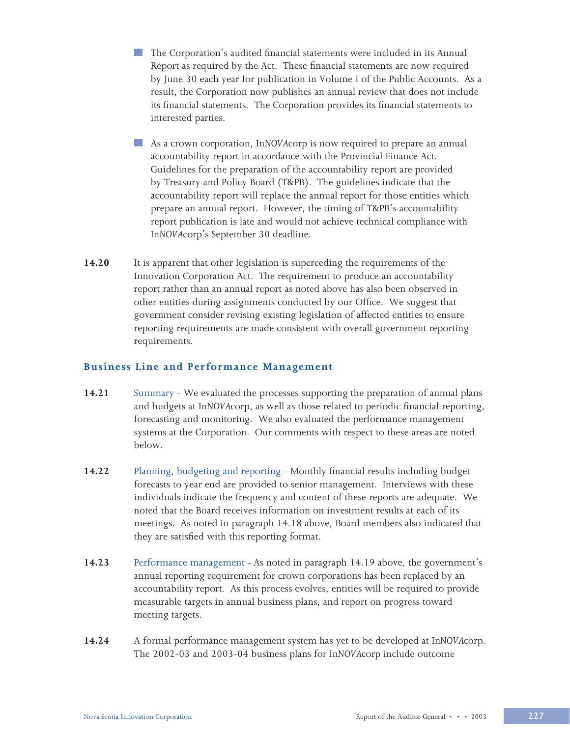- The Corporation's audited financial statements were included in its Annual Report as required by the Act. These financial statements are now required by June 30 each year for publication in Volume I of the Public Accounts. As a result, the Corporation now publishes an annual review that does not include its financial statements. The Corporation provides its financial statements to interested parties.
- As a crown corporation, In*NOVA*corp is now required to prepare an annual accountability report in accordance with the Provincial Finance Act. Guidelines for the preparation of the accountability report are provided by Treasury and Policy Board (T&PB). The guidelines indicate that the accountability report will replace the annual report for those entities which prepare an annual report. However, the timing of T&PB's accountability report publication is late and would not achieve technical compliance with In*NOVA*corp's September 30 deadline.
- **14.20** It is apparent that other legislation is superceding the requirements of the Innovation Corporation Act. The requirement to produce an accountability report rather than an annual report as noted above has also been observed in other entities during assignments conducted by our Office. We suggest that government consider revising existing legislation of affected entities to ensure reporting requirements are made consistent with overall government reporting requirements.

## **Business Line and Performance Management**

- **14.21** Summary We evaluated the processes supporting the preparation of annual plans and budgets at In*NOVA*corp, as well as those related to periodic financial reporting, forecasting and monitoring. We also evaluated the performance management systems at the Corporation. Our comments with respect to these areas are noted below.
- **14.22** Planning, budgeting and reporting Monthly financial results including budget forecasts to year end are provided to senior management. Interviews with these individuals indicate the frequency and content of these reports are adequate. We noted that the Board receives information on investment results at each of its meetings. As noted in paragraph 14.18 above, Board members also indicated that they are satisfied with this reporting format.
- **14.23** Performance managementAs noted in paragraph 14.19 above, the government's annual reporting requirement for crown corporations has been replaced by an accountability report. As this process evolves, entities will be required to provide measurable targets in annual business plans, and report on progress toward meeting targets.
- **14.24** A formal performance management system has yet to be developed at In*NOVA*corp. The 2002-03 and 2003-04 business plans for In*NOVA*corp include outcome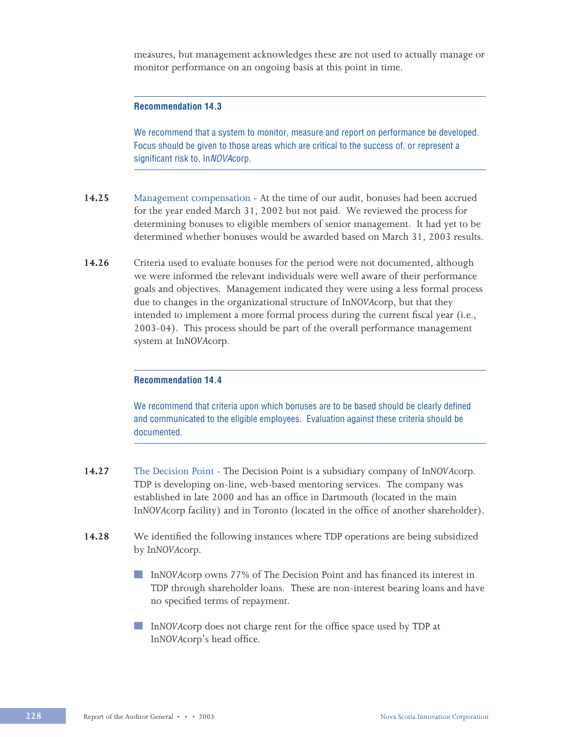measures, but management acknowledges these are not used to actually manage or monitor performance on an ongoing basis at this point in time.

#### **Recommendation 14.3**

We recommend that a system to monitor, measure and report on performance be developed. Focus should be given to those areas which are critical to the success of, or represent a significant risk to, InNOVAcorp.

- **14.25** Management compensation At the time of our audit, bonuses had been accrued for the year ended March 31, 2002 but not paid. We reviewed the process for determining bonuses to eligible members of senior management. It had yet to be determined whether bonuses would be awarded based on March 31, 2003 results.
- **14.26** Criteria used to evaluate bonuses for the period were not documented, although we were informed the relevant individuals were well aware of their performance goals and objectives. Management indicated they were using a less formal process due to changes in the organizational structure of In*NOVA*corp, but that they intended to implement a more formal process during the current fiscal year (i.e., 2003-04). This process should be part of the overall performance management system at In*NOVA*corp.

### **Recommendation 14.4**

We recommend that criteria upon which bonuses are to be based should be clearly defined and communicated to the eligible employees. Evaluation against these criteria should be documented.

- **14.27** The Decision Point The Decision Point is a subsidiary company of In*NOVA*corp. TDP is developing on-line, web-based mentoring services. The company was established in late 2000 and has an office in Dartmouth (located in the main In*NOVA*corp facility) and in Toronto (located in the office of another shareholder).
- **14.28** We identified the following instances where TDP operations are being subsidized by In*NOVA*corp.
	- In*NOVAcorp* owns 77% of The Decision Point and has financed its interest in TDP through shareholder loans. These are non-interest bearing loans and have no specified terms of repayment.
	- In*NOVAcorp* does not charge rent for the office space used by TDP at In*NOVA*corp's head office.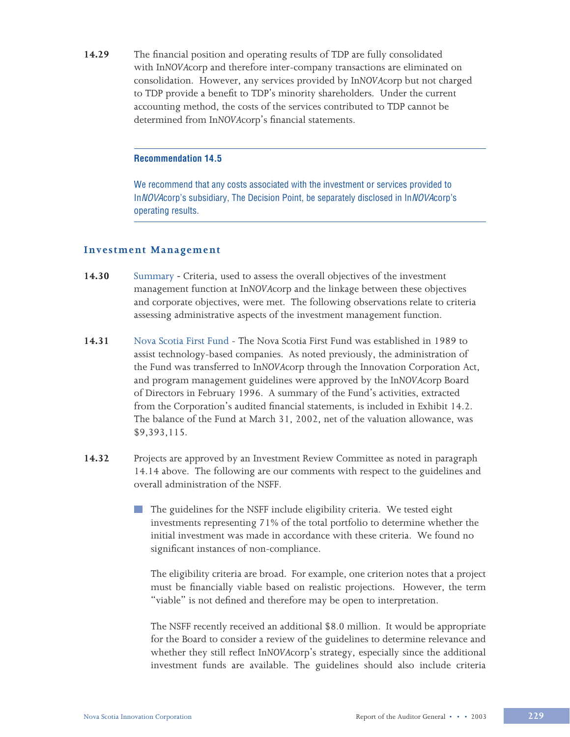**14.29** The financial position and operating results of TDP are fully consolidated with In*NOVA*corp and therefore inter-company transactions are eliminated on consolidation. However, any services provided by In*NOVA*corp but not charged to TDP provide a benefit to TDP's minority shareholders. Under the current accounting method, the costs of the services contributed to TDP cannot be determined from In*NOVA*corp's financial statements.

#### **Recommendation 14.5**

We recommend that any costs associated with the investment or services provided to InNOVAcorp's subsidiary, The Decision Point, be separately disclosed in InNOVAcorp's operating results.

#### **Investment Management**

- **14.30** SummaryCriteria, used to assess the overall objectives of the investment management function at In*NOVA*corp and the linkage between these objectives and corporate objectives, were met. The following observations relate to criteria assessing administrative aspects of the investment management function.
- **14.31** Nova Scotia First Fund The Nova Scotia First Fund was established in 1989 to assist technology-based companies. As noted previously, the administration of the Fund was transferred to In*NOVA*corp through the Innovation Corporation Act, and program management guidelines were approved by the In*NOVA*corp Board of Directors in February 1996. A summary of the Fund's activities, extracted from the Corporation's audited financial statements, is included in Exhibit 14.2. The balance of the Fund at March 31, 2002, net of the valuation allowance, was \$9,393,115.
- **14.32** Projects are approved by an Investment Review Committee as noted in paragraph 14.14 above. The following are our comments with respect to the guidelines and overall administration of the NSFF.
	- The guidelines for the NSFF include eligibility criteria. We tested eight investments representing 71% of the total portfolio to determine whether the initial investment was made in accordance with these criteria. We found no significant instances of non-compliance.

The eligibility criteria are broad. For example, one criterion notes that a project must be financially viable based on realistic projections. However, the term "viable" is not defined and therefore may be open to interpretation.

The NSFF recently received an additional \$8.0 million. It would be appropriate for the Board to consider a review of the guidelines to determine relevance and whether they still reflect In*NOVA*corp's strategy, especially since the additional investment funds are available. The guidelines should also include criteria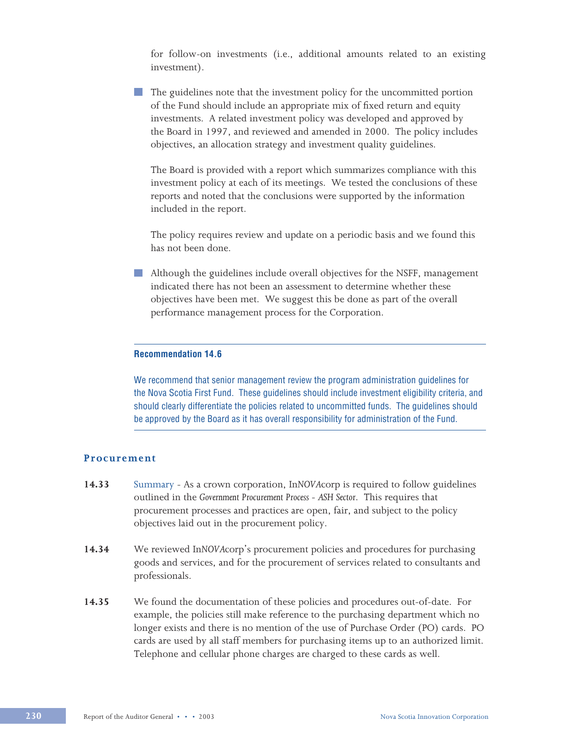for follow-on investments (i.e., additional amounts related to an existing investment).

The guidelines note that the investment policy for the uncommitted portion of the Fund should include an appropriate mix of fixed return and equity investments. A related investment policy was developed and approved by the Board in 1997, and reviewed and amended in 2000. The policy includes objectives, an allocation strategy and investment quality guidelines.

The Board is provided with a report which summarizes compliance with this investment policy at each of its meetings. We tested the conclusions of these reports and noted that the conclusions were supported by the information included in the report.

The policy requires review and update on a periodic basis and we found this has not been done.

Although the guidelines include overall objectives for the NSFF, management indicated there has not been an assessment to determine whether these objectives have been met. We suggest this be done as part of the overall performance management process for the Corporation.

#### **Recommendation 14.6**

We recommend that senior management review the program administration guidelines for the Nova Scotia First Fund. These guidelines should include investment eligibility criteria, and should clearly differentiate the policies related to uncommitted funds. The guidelines should be approved by the Board as it has overall responsibility for administration of the Fund.

### **Procurement**

- **14.33** Summary As a crown corporation, In*NOVA*corp is required to follow guidelines outlined in the *Government Procurement Process - ASH Sector*. This requires that procurement processes and practices are open, fair, and subject to the policy objectives laid out in the procurement policy.
- **14.34** We reviewed In*NOVA*corp's procurement policies and procedures for purchasing goods and services, and for the procurement of services related to consultants and professionals.
- **14.35** We found the documentation of these policies and procedures out-of-date. For example, the policies still make reference to the purchasing department which no longer exists and there is no mention of the use of Purchase Order (PO) cards. PO cards are used by all staff members for purchasing items up to an authorized limit. Telephone and cellular phone charges are charged to these cards as well.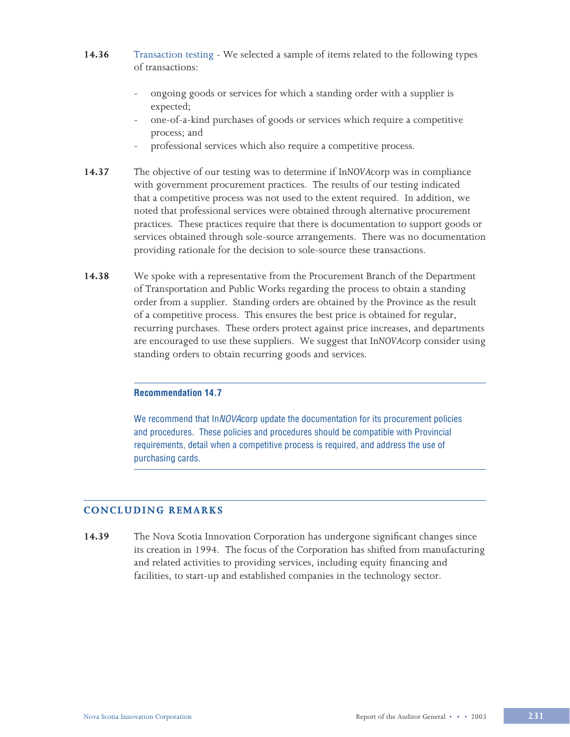- **14.36** Transaction testing We selected a sample of items related to the following types of transactions:
	- ongoing goods or services for which a standing order with a supplier is expected;
	- one-of-a-kind purchases of goods or services which require a competitive process; and
	- professional services which also require a competitive process.
- **14.37** The objective of our testing was to determine if In*NOVA*corp was in compliance with government procurement practices. The results of our testing indicated that a competitive process was not used to the extent required. In addition, we noted that professional services were obtained through alternative procurement practices. These practices require that there is documentation to support goods or services obtained through sole-source arrangements. There was no documentation providing rationale for the decision to sole-source these transactions.
- **14.38** We spoke with a representative from the Procurement Branch of the Department of Transportation and Public Works regarding the process to obtain a standing order from a supplier. Standing orders are obtained by the Province as the result of a competitive process. This ensures the best price is obtained for regular, recurring purchases. These orders protect against price increases, and departments are encouraged to use these suppliers. We suggest that In*NOVA*corp consider using standing orders to obtain recurring goods and services.

#### **Recommendation 14.7**

We recommend that InNOVAcorp update the documentation for its procurement policies and procedures. These policies and procedures should be compatible with Provincial requirements, detail when a competitive process is required, and address the use of purchasing cards.

#### **CONCLUDING REMARKS**

**14.39** The Nova Scotia Innovation Corporation has undergone significant changes since its creation in 1994. The focus of the Corporation has shifted from manufacturing and related activities to providing services, including equity financing and facilities, to start-up and established companies in the technology sector.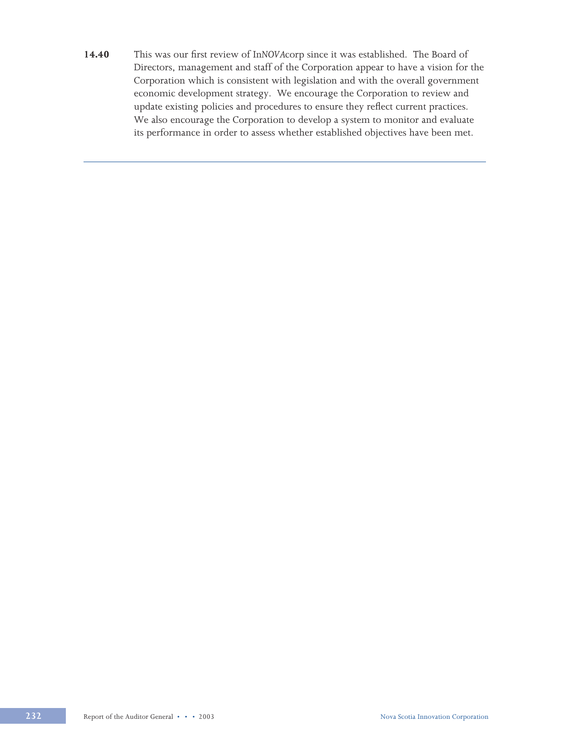**14.40** This was our first review of In*NOVA*corp since it was established. The Board of Directors, management and staff of the Corporation appear to have a vision for the Corporation which is consistent with legislation and with the overall government economic development strategy. We encourage the Corporation to review and update existing policies and procedures to ensure they reflect current practices. We also encourage the Corporation to develop a system to monitor and evaluate its performance in order to assess whether established objectives have been met.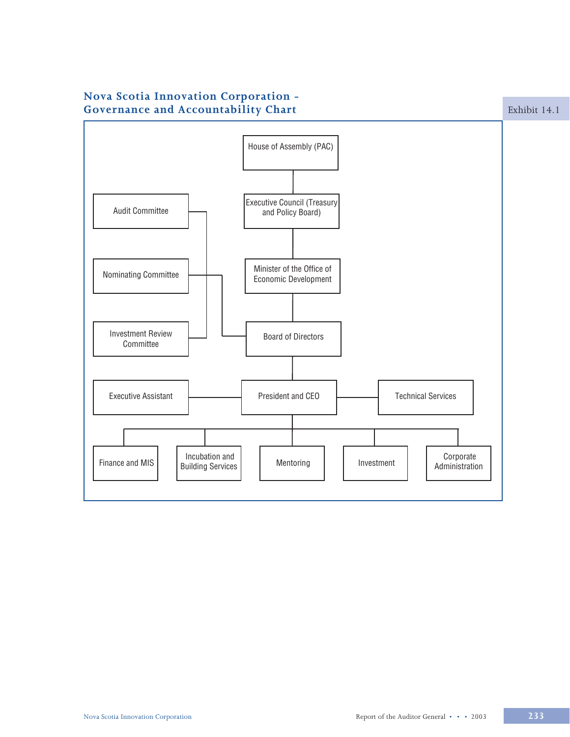